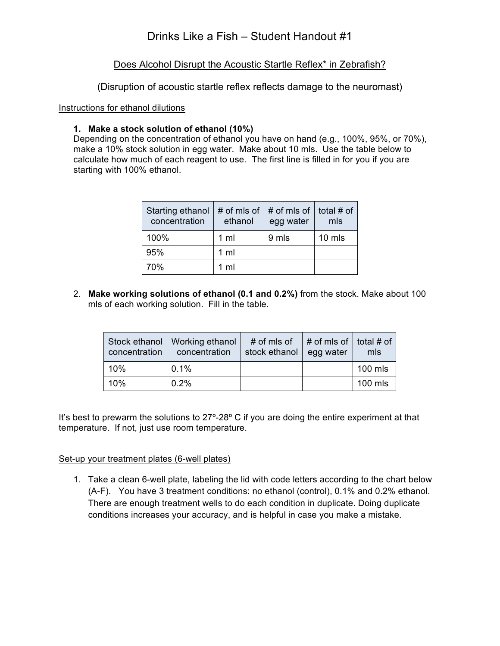# Drinks Like a Fish – Student Handout #1

### Does Alcohol Disrupt the Acoustic Startle Reflex\* in Zebrafish?

(Disruption of acoustic startle reflex reflects damage to the neuromast)

#### Instructions for ethanol dilutions

### **1. Make a stock solution of ethanol (10%)**

Depending on the concentration of ethanol you have on hand (e.g., 100%, 95%, or 70%), make a 10% stock solution in egg water. Make about 10 mls. Use the table below to calculate how much of each reagent to use. The first line is filled in for you if you are starting with 100% ethanol.

| Starting ethanol<br>concentration | ethanol        | # of mls of $\vert$ # of mls of $\vert$ total # of<br>egg water | mls    |
|-----------------------------------|----------------|-----------------------------------------------------------------|--------|
| 100%                              | 1 <sub>m</sub> | 9 mls                                                           | 10 mls |
| 95%                               | $1 \text{ ml}$ |                                                                 |        |
| 70%                               | $1 \text{ ml}$ |                                                                 |        |

2. **Make working solutions of ethanol (0.1 and 0.2%)** from the stock. Make about 100 mls of each working solution. Fill in the table.

| concentration | Stock ethanol   Working ethanol<br>concentration | # of mls of<br>stock ethanol | $\frac{1}{2}$ # of mls of $\frac{1}{2}$ total # of $\frac{1}{2}$<br>egg water | mls     |
|---------------|--------------------------------------------------|------------------------------|-------------------------------------------------------------------------------|---------|
| 10%           | 0.1%                                             |                              |                                                                               | 100 mls |
| 10%           | 0.2%                                             |                              |                                                                               | 100 mls |

It's best to prewarm the solutions to 27°-28° C if you are doing the entire experiment at that temperature. If not, just use room temperature.

#### Set-up your treatment plates (6-well plates)

1. Take a clean 6-well plate, labeling the lid with code letters according to the chart below (A-F). You have 3 treatment conditions: no ethanol (control), 0.1% and 0.2% ethanol. There are enough treatment wells to do each condition in duplicate. Doing duplicate conditions increases your accuracy, and is helpful in case you make a mistake.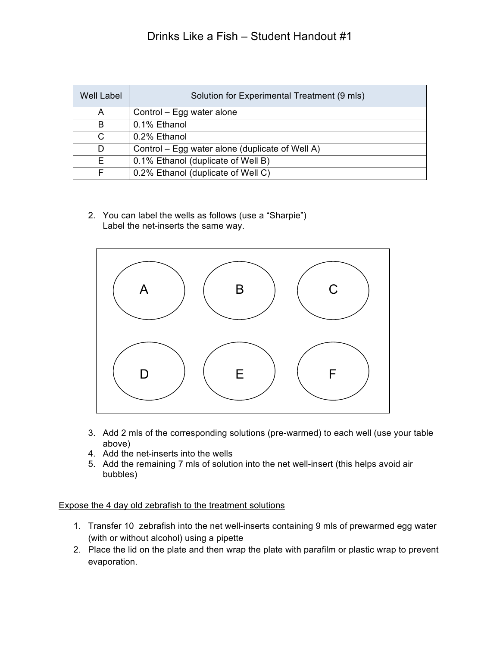# Drinks Like a Fish – Student Handout #1

| <b>Well Label</b> | Solution for Experimental Treatment (9 mls)     |
|-------------------|-------------------------------------------------|
| A                 | Control – Egg water alone                       |
| B                 | 0.1% Ethanol                                    |
| C.                | 0.2% Ethanol                                    |
| D                 | Control – Egg water alone (duplicate of Well A) |
| F.                | 0.1% Ethanol (duplicate of Well B)              |
|                   | 0.2% Ethanol (duplicate of Well C)              |

2. You can label the wells as follows (use a "Sharpie") Label the net-inserts the same way.



- 3. Add 2 mls of the corresponding solutions (pre-warmed) to each well (use your table above)
- 4. Add the net-inserts into the wells
- 5. Add the remaining 7 mls of solution into the net well-insert (this helps avoid air bubbles)

#### Expose the 4 day old zebrafish to the treatment solutions

- 1. Transfer 10 zebrafish into the net well-inserts containing 9 mls of prewarmed egg water (with or without alcohol) using a pipette
- 2. Place the lid on the plate and then wrap the plate with parafilm or plastic wrap to prevent evaporation.